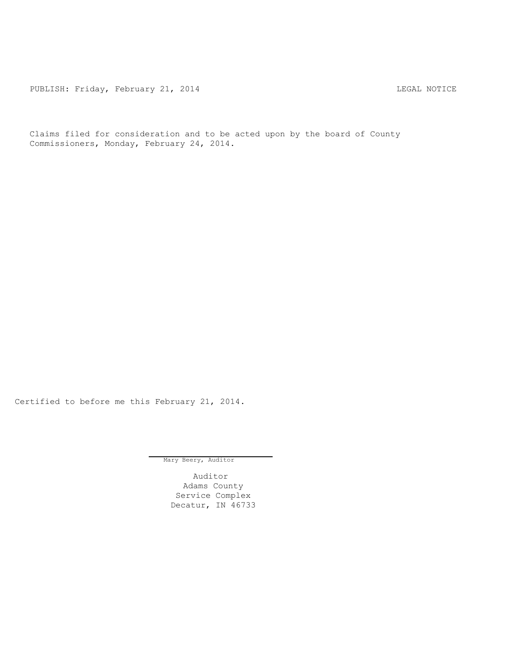PUBLISH: Friday, February 21, 2014 CHA CHANGE CONSTRUCTED AND THE LEGAL NOTICE

Claims filed for consideration and to be acted upon by the board of County Commissioners, Monday, February 24, 2014.

Certified to before me this February 21, 2014.

Mary Beery, Auditor

Auditor Adams County Service Complex Decatur, IN 46733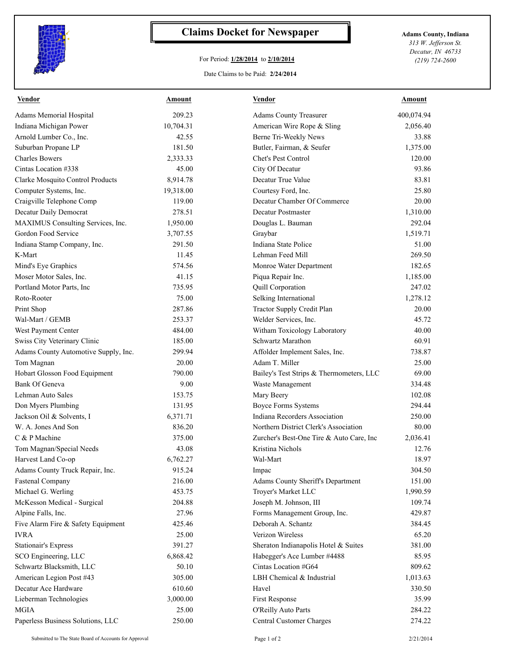

## **Claims Docket for Newspaper Adams County, Indiana**

## For Period: **1/28/2014** to **2/10/2014**

Date Claims to be Paid: **2/24/2014**

*313 W. Jefferson St. Decatur, IN 46733 (219) 724-2600*

| Vendor                               | Amount    | <b>Vendor</b>                            | Amount     |
|--------------------------------------|-----------|------------------------------------------|------------|
| Adams Memorial Hospital              | 209.23    | <b>Adams County Treasurer</b>            | 400,074.94 |
| Indiana Michigan Power               | 10,704.31 | American Wire Rope & Sling               | 2,056.40   |
| Arnold Lumber Co., Inc.              | 42.55     | Berne Tri-Weekly News                    | 33.88      |
| Suburban Propane LP                  | 181.50    | Butler, Fairman, & Seufer                | 1,375.00   |
| <b>Charles Bowers</b>                | 2,333.33  | Chet's Pest Control                      | 120.00     |
| Cintas Location #338                 | 45.00     | City Of Decatur                          | 93.86      |
| Clarke Mosquito Control Products     | 8,914.78  | Decatur True Value                       | 83.81      |
| Computer Systems, Inc.               | 19,318.00 | Courtesy Ford, Inc.                      | 25.80      |
| Craigville Telephone Comp            | 119.00    | Decatur Chamber Of Commerce              | 20.00      |
| Decatur Daily Democrat               | 278.51    | Decatur Postmaster                       | 1,310.00   |
| MAXIMUS Consulting Services, Inc.    | 1,950.00  | Douglas L. Bauman                        | 292.04     |
| Gordon Food Service                  | 3,707.55  | Graybar                                  | 1,519.71   |
| Indiana Stamp Company, Inc.          | 291.50    | Indiana State Police                     | 51.00      |
| K-Mart                               | 11.45     | Lehman Feed Mill                         | 269.50     |
| Mind's Eye Graphics                  | 574.56    | Monroe Water Department                  | 182.65     |
| Moser Motor Sales, Inc.              | 41.15     | Piqua Repair Inc.                        | 1,185.00   |
| Portland Motor Parts, Inc            | 735.95    | Quill Corporation                        | 247.02     |
| Roto-Rooter                          | 75.00     | Selking International                    | 1,278.12   |
| Print Shop                           | 287.86    | Tractor Supply Credit Plan               | 20.00      |
| Wal-Mart / GEMB                      | 253.37    | Welder Services, Inc.                    | 45.72      |
| West Payment Center                  | 484.00    | Witham Toxicology Laboratory             | 40.00      |
| Swiss City Veterinary Clinic         | 185.00    | Schwartz Marathon                        | 60.91      |
| Adams County Automotive Supply, Inc. | 299.94    | Affolder Implement Sales, Inc.           | 738.87     |
| Tom Magnan                           | 20.00     | Adam T. Miller                           | 25.00      |
| Hobart Glosson Food Equipment        | 790.00    | Bailey's Test Strips & Thermometers, LLC | 69.00      |
| Bank Of Geneva                       | 9.00      | Waste Management                         | 334.48     |
| Lehman Auto Sales                    | 153.75    | Mary Beery                               | 102.08     |
| Don Myers Plumbing                   | 131.95    | <b>Boyce Forms Systems</b>               | 294.44     |
| Jackson Oil & Solvents, I            | 6,371.71  | Indiana Recorders Association            | 250.00     |
| W. A. Jones And Son                  | 836.20    | Northern District Clerk's Association    | 80.00      |
| C & P Machine                        | 375.00    | Zurcher's Best-One Tire & Auto Care, Inc | 2,036.41   |
| Tom Magnan/Special Needs             | 43.08     | Kristina Nichols                         | 12.76      |
| Harvest Land Co-op                   | 6,762.27  | Wal-Mart                                 | 18.97      |
| Adams County Truck Repair, Inc.      | 915.24    | Impac                                    | 304.50     |
| <b>Fastenal Company</b>              | 216.00    | Adams County Sheriff's Department        | 151.00     |
| Michael G. Werling                   | 453.75    | Troyer's Market LLC                      | 1,990.59   |
| McKesson Medical - Surgical          | 204.88    | Joseph M. Johnson, III                   | 109.74     |
| Alpine Falls, Inc.                   | 27.96     | Forms Management Group, Inc.             | 429.87     |
| Five Alarm Fire & Safety Equipment   | 425.46    | Deborah A. Schantz                       | 384.45     |
| <b>IVRA</b>                          | 25.00     | Verizon Wireless                         | 65.20      |
| <b>Stationair's Express</b>          | 391.27    | Sheraton Indianapolis Hotel & Suites     | 381.00     |
| SCO Engineering, LLC                 | 6,868.42  | Habegger's Ace Lumber #4488              | 85.95      |
| Schwartz Blacksmith, LLC             | 50.10     | Cintas Location #G64                     | 809.62     |
| American Legion Post #43             | 305.00    | LBH Chemical & Industrial                | 1,013.63   |
| Decatur Ace Hardware                 | 610.60    | Havel                                    | 330.50     |
| Lieberman Technologies               | 3,000.00  | First Response                           | 35.99      |
| <b>MGIA</b>                          | 25.00     | O'Reilly Auto Parts                      | 284.22     |
| Paperless Business Solutions, LLC    | 250.00    | Central Customer Charges                 | 274.22     |